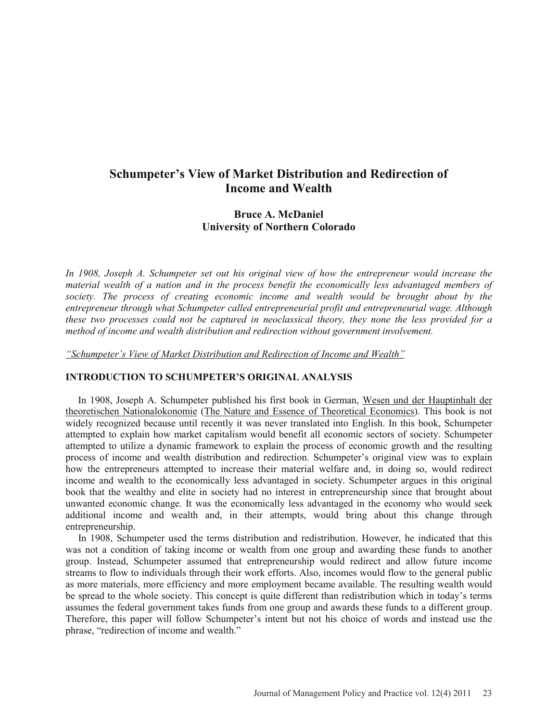# **Schumpeter's View of Market Distribution and Redirection of Income and Wealth**

## **Bruce A. McDaniel University of Northern Colorado**

*In 1908, Joseph A. Schumpeter set out his original view of how the entrepreneur would increase the material wealth of a nation and in the process benefit the economically less advantaged members of society. The process of creating economic income and wealth would be brought about by the entrepreneur through what Schumpeter called entrepreneurial profit and entrepreneurial wage. Although these two processes could not be captured in neoclassical theory, they none the less provided for a method of income and wealth distribution and redirection without government involvement.* 

*"Schumpeter's View of Market Distribution and Redirection of Income and Wealth"*

#### **INTRODUCTION TO SCHUMPETER'S ORIGINAL ANALYSIS**

 In 1908, Joseph A. Schumpeter published his first book in German, Wesen und der Hauptinhalt der theoretischen Nationalokonomie (The Nature and Essence of Theoretical Economics). This book is not widely recognized because until recently it was never translated into English. In this book, Schumpeter attempted to explain how market capitalism would benefit all economic sectors of society. Schumpeter attempted to utilize a dynamic framework to explain the process of economic growth and the resulting process of income and wealth distribution and redirection. Schumpeter's original view was to explain how the entrepreneurs attempted to increase their material welfare and, in doing so, would redirect income and wealth to the economically less advantaged in society. Schumpeter argues in this original book that the wealthy and elite in society had no interest in entrepreneurship since that brought about unwanted economic change. It was the economically less advantaged in the economy who would seek additional income and wealth and, in their attempts, would bring about this change through entrepreneurship.

 In 1908, Schumpeter used the terms distribution and redistribution. However, he indicated that this was not a condition of taking income or wealth from one group and awarding these funds to another group. Instead, Schumpeter assumed that entrepreneurship would redirect and allow future income streams to flow to individuals through their work efforts. Also, incomes would flow to the general public as more materials, more efficiency and more employment became available. The resulting wealth would be spread to the whole society. This concept is quite different than redistribution which in today's terms assumes the federal government takes funds from one group and awards these funds to a different group. Therefore, this paper will follow Schumpeter's intent but not his choice of words and instead use the phrase, "redirection of income and wealth."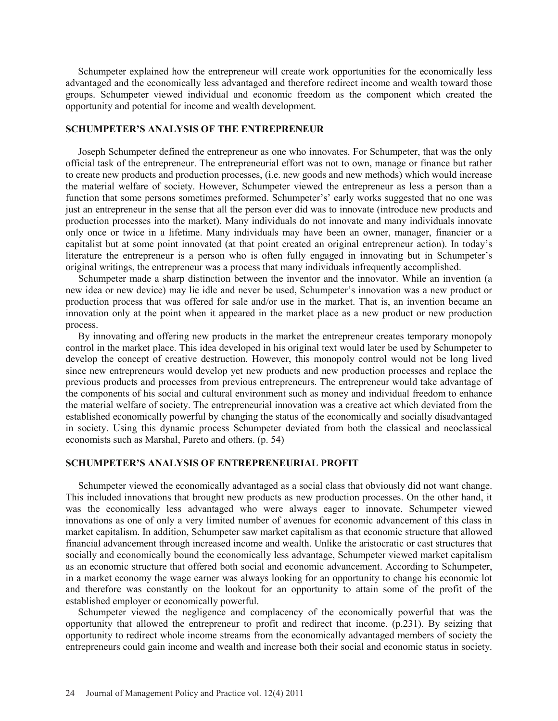Schumpeter explained how the entrepreneur will create work opportunities for the economically less advantaged and the economically less advantaged and therefore redirect income and wealth toward those groups. Schumpeter viewed individual and economic freedom as the component which created the opportunity and potential for income and wealth development.

#### **SCHUMPETER'S ANALYSIS OF THE ENTREPRENEUR**

 Joseph Schumpeter defined the entrepreneur as one who innovates. For Schumpeter, that was the only official task of the entrepreneur. The entrepreneurial effort was not to own, manage or finance but rather to create new products and production processes, (i.e. new goods and new methods) which would increase the material welfare of society. However, Schumpeter viewed the entrepreneur as less a person than a function that some persons sometimes preformed. Schumpeter's' early works suggested that no one was just an entrepreneur in the sense that all the person ever did was to innovate (introduce new products and production processes into the market). Many individuals do not innovate and many individuals innovate only once or twice in a lifetime. Many individuals may have been an owner, manager, financier or a capitalist but at some point innovated (at that point created an original entrepreneur action). In today's literature the entrepreneur is a person who is often fully engaged in innovating but in Schumpeter's original writings, the entrepreneur was a process that many individuals infrequently accomplished.

 Schumpeter made a sharp distinction between the inventor and the innovator. While an invention (a new idea or new device) may lie idle and never be used, Schumpeter's innovation was a new product or production process that was offered for sale and/or use in the market. That is, an invention became an innovation only at the point when it appeared in the market place as a new product or new production process.

 By innovating and offering new products in the market the entrepreneur creates temporary monopoly control in the market place. This idea developed in his original text would later be used by Schumpeter to develop the concept of creative destruction. However, this monopoly control would not be long lived since new entrepreneurs would develop yet new products and new production processes and replace the previous products and processes from previous entrepreneurs. The entrepreneur would take advantage of the components of his social and cultural environment such as money and individual freedom to enhance the material welfare of society. The entrepreneurial innovation was a creative act which deviated from the established economically powerful by changing the status of the economically and socially disadvantaged in society. Using this dynamic process Schumpeter deviated from both the classical and neoclassical economists such as Marshal, Pareto and others. (p. 54)

### **SCHUMPETER'S ANALYSIS OF ENTREPRENEURIAL PROFIT**

 Schumpeter viewed the economically advantaged as a social class that obviously did not want change. This included innovations that brought new products as new production processes. On the other hand, it was the economically less advantaged who were always eager to innovate. Schumpeter viewed innovations as one of only a very limited number of avenues for economic advancement of this class in market capitalism. In addition, Schumpeter saw market capitalism as that economic structure that allowed financial advancement through increased income and wealth. Unlike the aristocratic or cast structures that socially and economically bound the economically less advantage, Schumpeter viewed market capitalism as an economic structure that offered both social and economic advancement. According to Schumpeter, in a market economy the wage earner was always looking for an opportunity to change his economic lot and therefore was constantly on the lookout for an opportunity to attain some of the profit of the established employer or economically powerful.

 Schumpeter viewed the negligence and complacency of the economically powerful that was the opportunity that allowed the entrepreneur to profit and redirect that income. (p.231). By seizing that opportunity to redirect whole income streams from the economically advantaged members of society the entrepreneurs could gain income and wealth and increase both their social and economic status in society.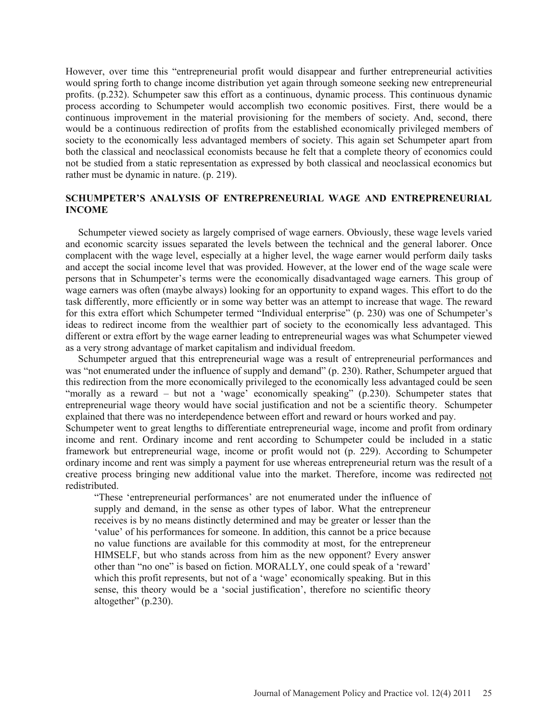However, over time this "entrepreneurial profit would disappear and further entrepreneurial activities would spring forth to change income distribution yet again through someone seeking new entrepreneurial profits. (p.232). Schumpeter saw this effort as a continuous, dynamic process. This continuous dynamic process according to Schumpeter would accomplish two economic positives. First, there would be a continuous improvement in the material provisioning for the members of society. And, second, there would be a continuous redirection of profits from the established economically privileged members of society to the economically less advantaged members of society. This again set Schumpeter apart from both the classical and neoclassical economists because he felt that a complete theory of economics could not be studied from a static representation as expressed by both classical and neoclassical economics but rather must be dynamic in nature. (p. 219).

## **SCHUMPETER'S ANALYSIS OF ENTREPRENEURIAL WAGE AND ENTREPRENEURIAL INCOME**

 Schumpeter viewed society as largely comprised of wage earners. Obviously, these wage levels varied and economic scarcity issues separated the levels between the technical and the general laborer. Once complacent with the wage level, especially at a higher level, the wage earner would perform daily tasks and accept the social income level that was provided. However, at the lower end of the wage scale were persons that in Schumpeter's terms were the economically disadvantaged wage earners. This group of wage earners was often (maybe always) looking for an opportunity to expand wages. This effort to do the task differently, more efficiently or in some way better was an attempt to increase that wage. The reward for this extra effort which Schumpeter termed "Individual enterprise" (p. 230) was one of Schumpeter's ideas to redirect income from the wealthier part of society to the economically less advantaged. This different or extra effort by the wage earner leading to entrepreneurial wages was what Schumpeter viewed as a very strong advantage of market capitalism and individual freedom.

 Schumpeter argued that this entrepreneurial wage was a result of entrepreneurial performances and was "not enumerated under the influence of supply and demand" (p. 230). Rather, Schumpeter argued that this redirection from the more economically privileged to the economically less advantaged could be seen "morally as a reward – but not a 'wage' economically speaking" (p.230). Schumpeter states that entrepreneurial wage theory would have social justification and not be a scientific theory. Schumpeter explained that there was no interdependence between effort and reward or hours worked and pay.

Schumpeter went to great lengths to differentiate entrepreneurial wage, income and profit from ordinary income and rent. Ordinary income and rent according to Schumpeter could be included in a static framework but entrepreneurial wage, income or profit would not (p. 229). According to Schumpeter ordinary income and rent was simply a payment for use whereas entrepreneurial return was the result of a creative process bringing new additional value into the market. Therefore, income was redirected not redistributed.

"These 'entrepreneurial performances' are not enumerated under the influence of supply and demand, in the sense as other types of labor. What the entrepreneur receives is by no means distinctly determined and may be greater or lesser than the 'value' of his performances for someone. In addition, this cannot be a price because no value functions are available for this commodity at most, for the entrepreneur HIMSELF, but who stands across from him as the new opponent? Every answer other than "no one" is based on fiction. MORALLY, one could speak of a 'reward' which this profit represents, but not of a 'wage' economically speaking. But in this sense, this theory would be a 'social justification', therefore no scientific theory altogether" (p.230).